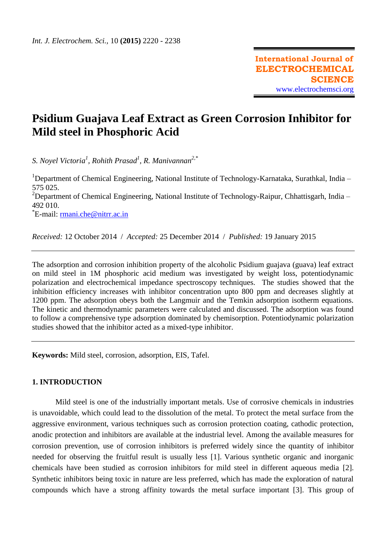# **Psidium Guajava Leaf Extract as Green Corrosion Inhibitor for Mild steel in Phosphoric Acid**

*S. Noyel Victoria<sup>1</sup> , Rohith Prasad<sup>1</sup> , R. Manivannan2,\**

<sup>1</sup>Department of Chemical Engineering, National Institute of Technology-Karnataka, Surathkal, India – 575 025. <sup>2</sup>Department of Chemical Engineering, National Institute of Technology-Raipur, Chhattisgarh, India -492 010.

\*E-mail: <u>[rmani.che@nitrr.ac.in](mailto:rmani.che@nitrr.ac.in)</u>

*Received:* 12 October 2014/ *Accepted:* 25 December 2014 / *Published:* 19 January 2015

The adsorption and corrosion inhibition property of the alcoholic Psidium guajava (guava) leaf extract on mild steel in 1M phosphoric acid medium was investigated by weight loss, potentiodynamic polarization and electrochemical impedance spectroscopy techniques. The studies showed that the inhibition efficiency increases with inhibitor concentration upto 800 ppm and decreases slightly at 1200 ppm. The adsorption obeys both the Langmuir and the Temkin adsorption isotherm equations. The kinetic and thermodynamic parameters were calculated and discussed. The adsorption was found to follow a comprehensive type adsorption dominated by chemisorption. Potentiodynamic polarization studies showed that the inhibitor acted as a mixed-type inhibitor.

**Keywords:** Mild steel, corrosion, adsorption, EIS, Tafel.

# **1. INTRODUCTION**

Mild steel is one of the industrially important metals. Use of corrosive chemicals in industries is unavoidable, which could lead to the dissolution of the metal. To protect the metal surface from the aggressive environment, various techniques such as corrosion protection coating, cathodic protection, anodic protection and inhibitors are available at the industrial level. Among the available measures for corrosion prevention, use of corrosion inhibitors is preferred widely since the quantity of inhibitor needed for observing the fruitful result is usually less [1]. Various synthetic organic and inorganic chemicals have been studied as corrosion inhibitors for mild steel in different aqueous media [2]. Synthetic inhibitors being toxic in nature are less preferred, which has made the exploration of natural compounds which have a strong affinity towards the metal surface important [3]. This group of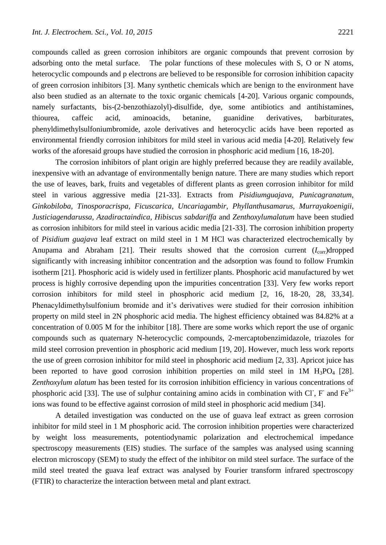compounds called as green corrosion inhibitors are organic compounds that prevent corrosion by adsorbing onto the metal surface. The polar functions of these molecules with S, O or N atoms, heterocyclic compounds and p electrons are believed to be responsible for corrosion inhibition capacity of green corrosion inhibitors [3]. Many synthetic chemicals which are benign to the environment have also been studied as an alternate to the toxic organic chemicals [4-20]. Various organic compounds, namely surfactants, bis-(2-benzothiazolyl)-disulfide, dye, some antibiotics and antihistamines, thiourea, caffeic acid, aminoacids, betanine, guanidine derivatives, barbiturates, phenyldimethylsulfoniumbromide, azole derivatives and heterocyclic acids have been reported as environmental friendly corrosion inhibitors for mild steel in various acid media [4-20]. Relatively few works of the aforesaid groups have studied the corrosion in phosphoric acid medium [16, 18-20].

The corrosion inhibitors of plant origin are highly preferred because they are readily available, inexpensive with an advantage of environmentally benign nature. There are many studies which report the use of leaves, bark, fruits and vegetables of different plants as green corrosion inhibitor for mild steel in various aggressive media [21-33]. Extracts from *Pisidiumguajava*, *Punicagranatum*, *Ginkobiloba*, *Tinosporacrispa*, *Ficuscarica*, *Uncariagambir*, *Phyllanthusamarus*, *Murrayakoenigii*, *Justiciagendarussa*, *Azadiractaindica*, *Hibiscus sabdariffa* and *Zenthoxylumalatum* have been studied as corrosion inhibitors for mild steel in various acidic media [21-33]. The corrosion inhibition property of *Pisidium guajava* leaf extract on mild steel in 1 M HCl was characterized electrochemically by Anupama and Abraham [21]. Their results showed that the corrosion current  $(I_{\text{corr}})$ dropped significantly with increasing inhibitor concentration and the adsorption was found to follow Frumkin isotherm [21]. Phosphoric acid is widely used in fertilizer plants. Phosphoric acid manufactured by wet process is highly corrosive depending upon the impurities concentration [33]. Very few works report corrosion inhibitors for mild steel in phosphoric acid medium [2, 16, 18-20, 28, 33,34]. Phenacyldimethylsulfonium bromide and it's derivatives were studied for their corrosion inhibition property on mild steel in 2N phosphoric acid media. The highest efficiency obtained was 84.82% at a concentration of 0.005 M for the inhibitor [18]. There are some works which report the use of organic compounds such as quaternary N-heterocyclic compounds, 2-mercaptobenzimidazole, triazoles for mild steel corrosion prevention in phosphoric acid medium [19, 20]. However, much less work reports the use of green corrosion inhibitor for mild steel in phosphoric acid medium [2, 33]. Apricot juice has been reported to have good corrosion inhibition properties on mild steel in 1M  $H_3PO_4$  [28]. *Zenthoxylum alatum* has been tested for its corrosion inhibition efficiency in various concentrations of phosphoric acid [33]. The use of sulphur containing amino acids in combination with Cl, F and Fe<sup>3+</sup> ions was found to be effective against corrosion of mild steel in phosphoric acid medium [34].

A detailed investigation was conducted on the use of guava leaf extract as green corrosion inhibitor for mild steel in 1 M phosphoric acid. The corrosion inhibition properties were characterized by weight loss measurements, potentiodynamic polarization and electrochemical impedance spectroscopy measurements (EIS) studies. The surface of the samples was analysed using scanning electron microscopy (SEM) to study the effect of the inhibitor on mild steel surface. The surface of the mild steel treated the guava leaf extract was analysed by Fourier transform infrared spectroscopy (FTIR) to characterize the interaction between metal and plant extract.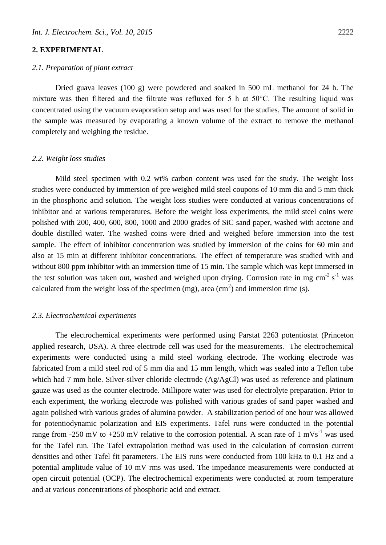# **2. EXPERIMENTAL**

## *2.1. Preparation of plant extract*

Dried guava leaves (100 g) were powdered and soaked in 500 mL methanol for 24 h. The mixture was then filtered and the filtrate was refluxed for 5 h at 50°C. The resulting liquid was concentrated using the vacuum evaporation setup and was used for the studies. The amount of solid in the sample was measured by evaporating a known volume of the extract to remove the methanol completely and weighing the residue.

#### *2.2. Weight loss studies*

Mild steel specimen with 0.2 wt% carbon content was used for the study. The weight loss studies were conducted by immersion of pre weighed mild steel coupons of 10 mm dia and 5 mm thick in the phosphoric acid solution. The weight loss studies were conducted at various concentrations of inhibitor and at various temperatures. Before the weight loss experiments, the mild steel coins were polished with 200, 400, 600, 800, 1000 and 2000 grades of SiC sand paper, washed with acetone and double distilled water. The washed coins were dried and weighed before immersion into the test sample. The effect of inhibitor concentration was studied by immersion of the coins for 60 min and also at 15 min at different inhibitor concentrations. The effect of temperature was studied with and without 800 ppm inhibitor with an immersion time of 15 min. The sample which was kept immersed in the test solution was taken out, washed and weighed upon drying. Corrosion rate in mg  $cm<sup>-2</sup> s<sup>-1</sup>$  was calculated from the weight loss of the specimen (mg), area (cm<sup>2</sup>) and immersion time (s).

#### *2.3. Electrochemical experiments*

The electrochemical experiments were performed using Parstat 2263 potentiostat (Princeton applied research, USA). A three electrode cell was used for the measurements. The electrochemical experiments were conducted using a mild steel working electrode. The working electrode was fabricated from a mild steel rod of 5 mm dia and 15 mm length, which was sealed into a Teflon tube which had 7 mm hole. Silver-silver chloride electrode (Ag/AgCl) was used as reference and platinum gauze was used as the counter electrode. Millipore water was used for electrolyte preparation. Prior to each experiment, the working electrode was polished with various grades of sand paper washed and again polished with various grades of alumina powder. A stabilization period of one hour was allowed for potentiodynamic polarization and EIS experiments. Tafel runs were conducted in the potential range from -250 mV to +250 mV relative to the corrosion potential. A scan rate of 1 mVs<sup>-1</sup> was used for the Tafel run. The Tafel extrapolation method was used in the calculation of corrosion current densities and other Tafel fit parameters. The EIS runs were conducted from 100 kHz to 0.1 Hz and a potential amplitude value of 10 mV rms was used. The impedance measurements were conducted at open circuit potential (OCP). The electrochemical experiments were conducted at room temperature and at various concentrations of phosphoric acid and extract.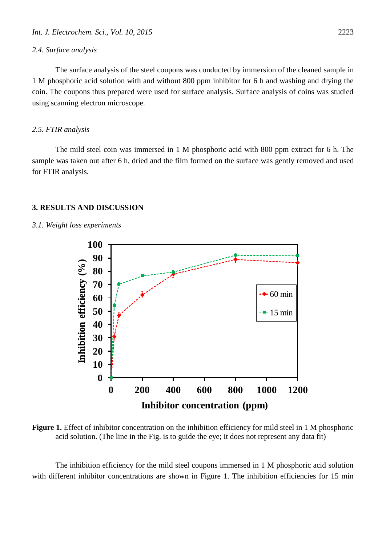#### *2.4. Surface analysis*

The surface analysis of the steel coupons was conducted by immersion of the cleaned sample in 1 M phosphoric acid solution with and without 800 ppm inhibitor for 6 h and washing and drying the coin. The coupons thus prepared were used for surface analysis. Surface analysis of coins was studied using scanning electron microscope.

#### *2.5. FTIR analysis*

The mild steel coin was immersed in 1 M phosphoric acid with 800 ppm extract for 6 h. The sample was taken out after 6 h, dried and the film formed on the surface was gently removed and used for FTIR analysis.

#### **3. RESULTS AND DISCUSSION**

#### *3.1. Weight loss experiments*



Figure 1. Effect of inhibitor concentration on the inhibition efficiency for mild steel in 1 M phosphoric acid solution. (The line in the Fig. is to guide the eye; it does not represent any data fit)

The inhibition efficiency for the mild steel coupons immersed in 1 M phosphoric acid solution with different inhibitor concentrations are shown in Figure 1. The inhibition efficiencies for 15 min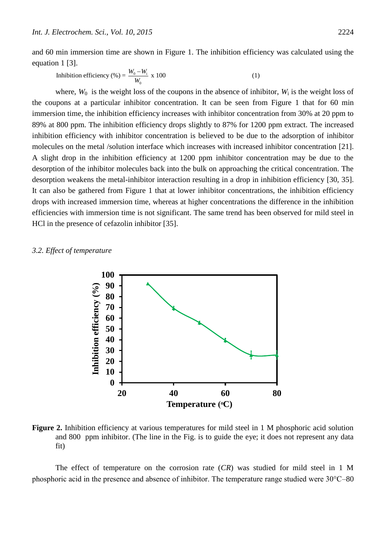and 60 min immersion time are shown in Figure 1. The inhibition efficiency was calculated using the equation 1 [3].<br>
Inhibition efficiency (%) =  $\frac{W_0 - W_i}{W_0}$  x 100 (1) equation 1 [3].

Inhibition efficiency (%) = 
$$
\frac{W_0 - W_i}{W_0}
$$
 x 100

where,  $W_0$  is the weight loss of the coupons in the absence of inhibitor,  $W_i$  is the weight loss of the coupons at a particular inhibitor concentration. It can be seen from Figure 1 that for 60 min immersion time, the inhibition efficiency increases with inhibitor concentration from 30% at 20 ppm to 89% at 800 ppm. The inhibition efficiency drops slightly to 87% for 1200 ppm extract. The increased inhibition efficiency with inhibitor concentration is believed to be due to the adsorption of inhibitor molecules on the metal /solution interface which increases with increased inhibitor concentration [21]. A slight drop in the inhibition efficiency at 1200 ppm inhibitor concentration may be due to the desorption of the inhibitor molecules back into the bulk on approaching the critical concentration. The desorption weakens the metal-inhibitor interaction resulting in a drop in inhibition efficiency [30, 35]. It can also be gathered from Figure 1 that at lower inhibitor concentrations, the inhibition efficiency drops with increased immersion time, whereas at higher concentrations the difference in the inhibition efficiencies with immersion time is not significant. The same trend has been observed for mild steel in HCl in the presence of cefazolin inhibitor [35].

#### *3.2. Effect of temperature*



Figure 2. Inhibition efficiency at various temperatures for mild steel in 1 M phosphoric acid solution and 800 ppm inhibitor. (The line in the Fig. is to guide the eye; it does not represent any data fit)

The effect of temperature on the corrosion rate (*CR*) was studied for mild steel in 1 M phosphoric acid in the presence and absence of inhibitor. The temperature range studied were 30°C–80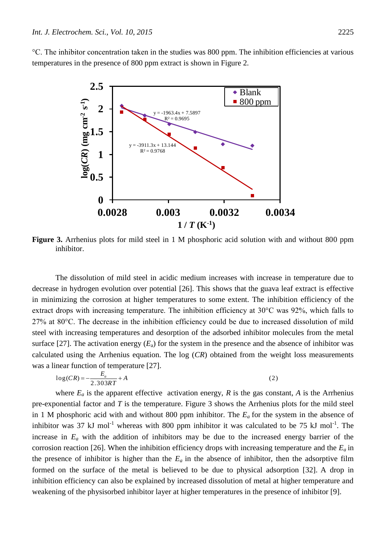°C. The inhibitor concentration taken in the studies was 800 ppm. The inhibition efficiencies at various temperatures in the presence of 800 ppm extract is shown in Figure 2.



**Figure 3.** Arrhenius plots for mild steel in 1 M phosphoric acid solution with and without 800 ppm inhibitor.

The dissolution of mild steel in acidic medium increases with increase in temperature due to decrease in hydrogen evolution over potential [26]. This shows that the guava leaf extract is effective in minimizing the corrosion at higher temperatures to some extent. The inhibition efficiency of the extract drops with increasing temperature. The inhibition efficiency at 30°C was 92%, which falls to 27% at 80°C. The decrease in the inhibition efficiency could be due to increased dissolution of mild steel with increasing temperatures and desorption of the adsorbed inhibitor molecules from the metal surface [27]. The activation energy ( $E_a$ ) for the system in the presence and the absence of inhibitor was calculated using the Arrhenius equation. The log (*CR*) obtained from the weight loss measurements was a linear fu calculated using the Arrhenius equation. The log (*CR*) obtained from the weight loss measurements was a linear function of temperature [27]. rion<br>rhei<br>*RT*<br>appa

$$
log(CR) = -\frac{E_a}{2.303RT} + A\tag{2}
$$

where  $E_a$  is the apparent effective activation energy,  $R$  is the gas constant,  $A$  is the Arrhenius pre-exponential factor and *T* is the temperature. Figure 3 shows the Arrhenius plots for the mild steel in 1 M phosphoric acid with and without 800 ppm inhibitor. The *Ea* for the system in the absence of inhibitor was 37 kJ mol<sup>-1</sup> whereas with 800 ppm inhibitor it was calculated to be 75 kJ mol<sup>-1</sup>. The increase in *E<sup>a</sup>* with the addition of inhibitors may be due to the increased energy barrier of the corrosion reaction [26]. When the inhibition efficiency drops with increasing temperature and the *E<sup>a</sup>* in the presence of inhibitor is higher than the  $E_a$  in the absence of inhibitor, then the adsorptive film formed on the surface of the metal is believed to be due to physical adsorption [32]. A drop in inhibition efficiency can also be explained by increased dissolution of metal at higher temperature and weakening of the physisorbed inhibitor layer at higher temperatures in the presence of inhibitor [9].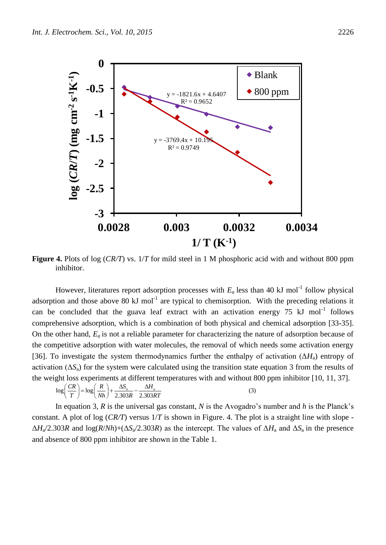

**Figure 4.** Plots of log (*CR/T*) vs. 1/*T* for mild steel in 1 M phosphoric acid with and without 800 ppm inhibitor.

However, literatures report adsorption processes with  $E_a$  less than 40 kJ mol<sup>-1</sup> follow physical adsorption and those above 80 kJ mol<sup>-1</sup> are typical to chemisorption. With the preceding relations it can be concluded that the guava leaf extract with an activation energy  $75 \text{ kJ} \text{ mol}^{-1}$  follows comprehensive adsorption, which is a combination of both physical and chemical adsorption [33-35]. On the other hand, *Ea* is not a reliable parameter for characterizing the nature of adsorption because of the competitive adsorption with water molecules, the removal of which needs some activation energy [36]. To investigate the system thermodynamics further the enthalpy of activation  $(\Delta H_a)$  entropy of activation  $(\Delta S_a)$  for the system were calculated using the transition state equation 3 from the results of the weight loss experiments at different temperatures with and without 800 ppm inhibitor [10, 11, 37]. be investigate the system thermodynamics further the enthalpy of  $(\Delta S_a)$  for the system were calculated using the transition state<br>ght loss experiments at different temperatures with and without 8<br> $\log\left(\frac{CR}{T}\right) = \log\left(\frac{R}{$ vestigate the system thermo<br>  $\Delta S_a$ ) for the system were cal<br>
loss experiments at different<br>  $\frac{CR}{T}$  =  $\log(\frac{R}{Nh}) + \frac{\Delta S_a}{2.303R} - \frac{\Delta H_a}{2.303R}$ mvestigate the system thermodynamics function<br>( $\Delta S_a$ ) for the system were calculated using<br>loss experiments at different temperatures<br> $\left(\frac{CR}{T}\right) = \log\left(\frac{R}{Nh}\right) + \frac{\Delta S_a}{2.303R} - \frac{\Delta H_a}{2.303RT}$ 

$$
\log\left(\frac{CR}{T}\right) = \log\left(\frac{R}{Nh}\right) + \frac{\Delta S_a}{2.303R} - \frac{\Delta H_a}{2.303RT}
$$
\n(3)

In equation 3, *R* is the universal gas constant, *N* is the Avogadro's number and *h* is the Planck's constant. A plot of log (*CR/T*) versus 1/*T* is shown in Figure. 4. The plot is a straight line with slope -  $\Delta H_a/2.303R$  and  $\log(R/Nh) + (\Delta S_a/2.303R)$  as the intercept. The values of  $\Delta H_a$  and  $\Delta S_a$  in the presence and absence of 800 ppm inhibitor are shown in the Table 1.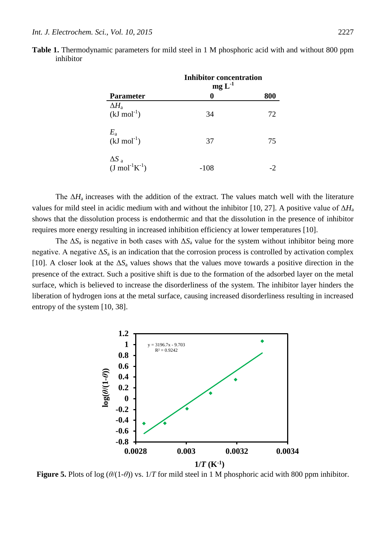|                                                | <b>Inhibitor concentration</b><br>$mg L-1$ |     |
|------------------------------------------------|--------------------------------------------|-----|
| <b>Parameter</b>                               | 0                                          | 800 |
| $\Delta H_a$<br>$(kJ \text{ mol}^{-1})$        | 34                                         | 72  |
| $E_a$<br>(kJ mol <sup>-1</sup> )               | 37                                         | 75  |
| $\frac{\Delta S}{(J \text{ mol}^{-1} K^{-1})}$ | $-108$                                     |     |

**Table 1.** Thermodynamic parameters for mild steel in 1 M phosphoric acid with and without 800 ppm inhibitor

The  $\Delta H_a$  increases with the addition of the extract. The values match well with the literature values for mild steel in acidic medium with and without the inhibitor [10, 27]. A positive value of Δ*H*<sup>a</sup> shows that the dissolution process is endothermic and that the dissolution in the presence of inhibitor requires more energy resulting in increased inhibition efficiency at lower temperatures [10].

The  $\Delta S_a$  is negative in both cases with  $\Delta S_a$  value for the system without inhibitor being more negative. A negative  $\Delta S_a$  is an indication that the corrosion process is controlled by activation complex [10]. A closer look at the  $\Delta S_a$  values shows that the values move towards a positive direction in the presence of the extract. Such a positive shift is due to the formation of the adsorbed layer on the metal surface, which is believed to increase the disorderliness of the system. The inhibitor layer hinders the liberation of hydrogen ions at the metal surface, causing increased disorderliness resulting in increased entropy of the system [10, 38].



**Figure 5.** Plots of log (*θ*/(1-*θ*)) vs. 1/*T* for mild steel in 1 M phosphoric acid with 800 ppm inhibitor.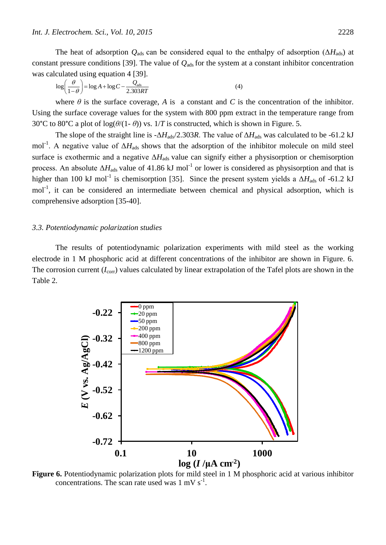The heat of adsorption *Q*<sub>ads</sub> can be considered equal to the enthalpy of adsorption ( $\Delta H_{\text{ads}}$ ) at<br>t pressure conditions [39]. The value of *Q*<sub>ads</sub> for the system at a constant inhibitor concentration<br>culated using e constant pressure conditions [39]. The value of  $Q_{ads}$  for the system at a constant inhibitor concentration was calculated using equation 4 [39]. The heat of adsorption  $Q_{\text{ads}}$  can be considered equal to the<br>t pressure conditions [39]. The value of  $Q_{\text{ads}}$  for the system a<br>culated using equation 4 [39].<br> $\log\left(\frac{\theta}{1-\theta}\right) = \log A + \log C - \frac{Q_{\text{ads}}}{2.303RT}$  (4)

$$
\log\left(\frac{\theta}{1-\theta}\right) = \log A + \log C - \frac{Q_{\text{ads}}}{2.303RT} \tag{4}
$$

where  $\theta$  is the surface coverage,  $A$  is a constant and  $C$  is the concentration of the inhibitor. Using the surface coverage values for the system with 800 ppm extract in the temperature range from 30°C to 80°C a plot of  $log(\theta/(1-\theta))$  vs.  $1/T$  is constructed, which is shown in Figure. 5.

The slope of the straight line is  $-\Delta H_{\text{ads}}/2.303R$ . The value of  $\Delta H_{\text{ads}}$  was calculated to be -61.2 kJ mol<sup>-1</sup>. A negative value of ΔH<sub>ads</sub> shows that the adsorption of the inhibitor molecule on mild steel surface is exothermic and a negative Δ*H*ads value can signify either a physisorption or chemisorption process. An absolute  $\Delta H_{ads}$  value of 41.86 kJ mol<sup>-1</sup> or lower is considered as physisorption and that is higher than 100 kJ mol<sup>-1</sup> is chemisorption [35]. Since the present system yields a  $\Delta H_{\text{ads}}$  of -61.2 kJ mol<sup>-1</sup>, it can be considered an intermediate between chemical and physical adsorption, which is comprehensive adsorption [35-40].

### *3.3. Potentiodynamic polarization studies*

The results of potentiodynamic polarization experiments with mild steel as the working electrode in 1 M phosphoric acid at different concentrations of the inhibitor are shown in Figure. 6. The corrosion current  $(I_{\text{corr}})$  values calculated by linear extrapolation of the Tafel plots are shown in the Table 2.



**Figure 6.** Potentiodynamic polarization plots for mild steel in 1 M phosphoric acid at various inhibitor concentrations. The scan rate used was  $1 \text{ mV s}^{-1}$ .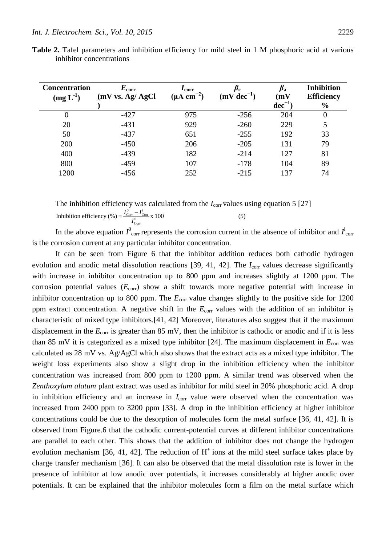| <b>Concentration</b><br>$(mg L^{-1})$ | $E_{\rm corr}$<br>(mV vs. Ag/AgCl) | $I_{\rm corr}$<br>$(\mu A \text{ cm}^{-2})$ | $\mu_{\rm c}$<br>$(mV dec^{-1})$ | $\beta_{\rm a}$<br>(mV) | <b>Inhibition</b><br><b>Efficiency</b> |  |
|---------------------------------------|------------------------------------|---------------------------------------------|----------------------------------|-------------------------|----------------------------------------|--|
|                                       |                                    |                                             |                                  | $dec^{-1}$              | $\frac{6}{6}$                          |  |
| $\theta$                              | $-427$                             | 975                                         | $-256$                           | 204                     | 0                                      |  |
| 20                                    | $-431$                             | 929                                         | $-260$                           | 229                     | 5                                      |  |
| 50                                    | $-437$                             | 651                                         | $-255$                           | 192                     | 33                                     |  |
| 200                                   | $-450$                             | 206                                         | $-205$                           | 131                     | 79                                     |  |
| 400                                   | $-439$                             | 182                                         | $-214$                           | 127                     | 81                                     |  |
| 800                                   | $-459$                             | 107                                         | $-178$                           | 104                     | 89                                     |  |
| 1200                                  | $-456$                             | 252                                         | $-215$                           | 137                     | 74                                     |  |

**Table 2.** Tafel parameters and inhibition efficiency for mild steel in 1 M phosphoric acid at various inhibitor concentrations

The inhibition efficiency was calculated from the  $I_{\text{corr}}$  values using equation 5 [27] The inhibition efficiency was calculated from the  $I_{\text{corr}}$  values units inhibition efficiency (%) =  $\frac{I_{\text{corr}}^0 - I_{\text{corr}}^i}{I_{\text{corr}}^0}$  x 100 (5)  $=\frac{I_{\text{Corr}}^0-I}{I_{\text{cor}}}$ 

In the above equation  $I^0_{\text{corr}}$  represents the corrosion current in the absence of inhibitor and  $I^i_{\text{corr}}$ is the corrosion current at any particular inhibitor concentration.

It can be seen from Figure 6 that the inhibitor addition reduces both cathodic hydrogen evolution and anodic metal dissolution reactions [39, 41, 42]. The *I*<sub>corr</sub> values decrease significantly with increase in inhibitor concentration up to 800 ppm and increases slightly at 1200 ppm. The corrosion potential values  $(E_{\text{corr}})$  show a shift towards more negative potential with increase in inhibitor concentration up to 800 ppm. The  $E_{\text{corr}}$  value changes slightly to the positive side for 1200 ppm extract concentration. A negative shift in the *E*<sub>corr</sub> values with the addition of an inhibitor is characteristic of mixed type inhibitors.[41, 42] Moreover, literatures also suggest that if the maximum displacement in the  $E_{\text{corr}}$  is greater than 85 mV, then the inhibitor is cathodic or anodic and if it is less than 85 mV it is categorized as a mixed type inhibitor [24]. The maximum displacement in  $E_{\text{corr}}$  was calculated as 28 mV vs. Ag/AgCl which also shows that the extract acts as a mixed type inhibitor. The weight loss experiments also show a slight drop in the inhibition efficiency when the inhibitor concentration was increased from 800 ppm to 1200 ppm. A similar trend was observed when the *Zenthoxylum alatum* plant extract was used as inhibitor for mild steel in 20% phosphoric acid. A drop in inhibition efficiency and an increase in *I*<sub>corr</sub> value were observed when the concentration was increased from 2400 ppm to 3200 ppm [33]. A drop in the inhibition efficiency at higher inhibitor concentrations could be due to the desorption of molecules form the metal surface [36, 41, 42]. It is observed from Figure.6 that the cathodic current-potential curves at different inhibitor concentrations are parallel to each other. This shows that the addition of inhibitor does not change the hydrogen evolution mechanism [36, 41, 42]. The reduction of  $H^+$  ions at the mild steel surface takes place by charge transfer mechanism [36]. It can also be observed that the metal dissolution rate is lower in the presence of inhibitor at low anodic over potentials, it increases considerably at higher anodic over potentials. It can be explained that the inhibitor molecules form a film on the metal surface which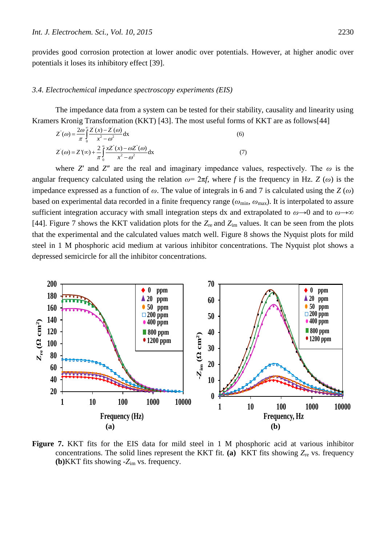provides good corrosion protection at lower anodic over potentials. However, at higher anodic over potentials it loses its inhibitory effect [39].

#### *3.4. Electrochemical impedance spectroscopy experiments (EIS)*

The impedance data from a system can be tested for their stability, causality and linearity using Kramers Kronig Transformation (KKT) [43]. The most useful forms of KKT are as follows[44]  $\frac{1}{\ln \sin \left( \frac{x}{2} \right)}$ The impedance data from a system can be tested for their stals<br>
S Kronig Transformation (KKT) [43]. The most useful forms<br>  $Z^{\dagger}(\omega) = \frac{2\omega}{\pi} \int_{0}^{\infty} \frac{Z(x)-Z(\omega)}{x^2-\omega^2} dx$  (6)

The impedance data from a system can be tested for their stab-  
\nrs Kronig Transformation (KKT) [43]. The most useful forms  
\n
$$
Z(\omega) = \frac{2\omega}{\pi} \int_{0}^{\infty} \frac{Z(x) - Z(\omega)}{x^2 - \omega^2} dx
$$
\n(6)  
\n
$$
Z(\omega) = Z(\infty) + \frac{2}{\pi} \int_{0}^{\infty} \frac{xZ(x) - \omega Z(\omega)}{x^2 - \omega^2} dx
$$
\n(7)

where *Z'* and *Z''* are the real and imaginary impedance values, respectively. The  $\omega$  is the angular frequency calculated using the relation  $\omega = 2\pi f$ , where f is the frequency in Hz. *Z* ( $\omega$ ) is the impedance expressed as a function of *ω*. The value of integrals in 6 and 7 is calculated using the *Z* (*ω*) based on experimental data recorded in a finite frequency range ( $\omega_{min}$ ,  $\omega_{max}$ ). It is interpolated to assure sufficient integration accuracy with small integration steps dx and extrapolated to *ω→*0 and to *ω→*∞ [44]. Figure 7 shows the KKT validation plots for the *Z*re and *Z*im values. It can be seen from the plots that the experimental and the calculated values match well. Figure 8 shows the Nyquist plots for mild steel in 1 M phosphoric acid medium at various inhibitor concentrations. The Nyquist plot shows a depressed semicircle for all the inhibitor concentrations.



**Figure 7.** KKT fits for the EIS data for mild steel in 1 M phosphoric acid at various inhibitor concentrations. The solid lines represent the KKT fit. **(a)** KKT fits showing  $Z_{\text{re}}$  vs. frequency **(b)**KKT fits showing -*Z*im vs. frequency.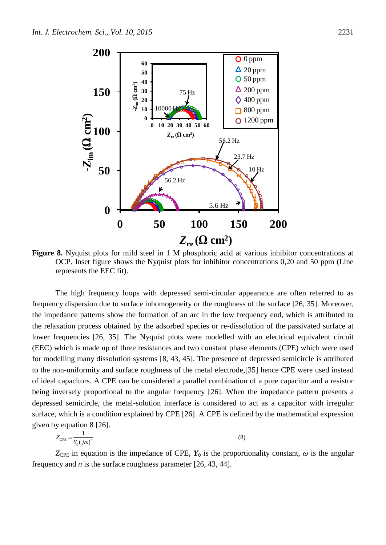

**Figure 8.** Nyquist plots for mild steel in 1 M phosphoric acid at various inhibitor concentrations at OCP. Inset figure shows the Nyquist plots for inhibitor concentrations 0,20 and 50 ppm (Line represents the EEC fit).

The high frequency loops with depressed semi-circular appearance are often referred to as frequency dispersion due to surface inhomogeneity or the roughness of the surface [26, 35]. Moreover, the impedance patterns show the formation of an arc in the low frequency end, which is attributed to the relaxation process obtained by the adsorbed species or re-dissolution of the passivated surface at lower frequencies [26, 35]. The Nyquist plots were modelled with an electrical equivalent circuit (EEC) which is made up of three resistances and two constant phase elements (CPE) which were used for modelling many dissolution systems [8, 43, 45]. The presence of depressed semicircle is attributed to the non-uniformity and surface roughness of the metal electrode,[35] hence CPE were used instead of ideal capacitors. A CPE can be considered a parallel combination of a pure capacitor and a resistor being inversely proportional to the angular frequency [26]. When the impedance pattern presents a depressed semicircle, the metal-solution interface is considered to act as a capacitor with irregular surface, which is a condition explained by CPE [26]. A CPE is defined by the mathematical expression given by equation 8 [26].  $\frac{1}{\gamma_0(j\omega)^n}$ <br>  $\frac{1}{\gamma_0(j\omega)^n}$ 

$$
Z_{\rm CPE} = \frac{1}{Y_0(j\omega)^n} \tag{8}
$$

 $Z_{\text{CPE}}$  in equation is the impedance of CPE,  $Y_0$  is the proportionality constant,  $\omega$  is the angular frequency and *n* is the surface roughness parameter [26, 43, 44].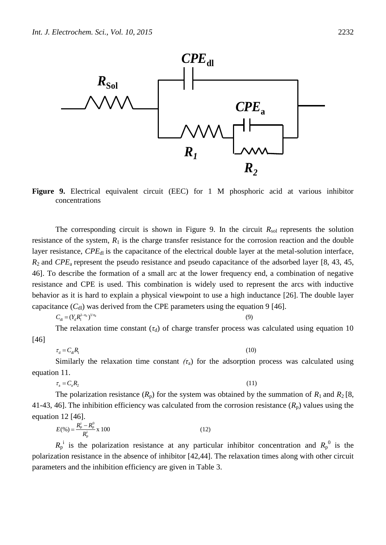![](_page_12_Figure_1.jpeg)

**Figure 9.** Electrical equivalent circuit (EEC) for 1 M phosphoric acid at various inhibitor concentrations

The corresponding circuit is shown in Figure 9. In the circuit  $R_{sol}$  represents the solution resistance of the system,  $R_1$  is the charge transfer resistance for the corrosion reaction and the double layer resistance, *CPE*<sub>dl</sub> is the capacitance of the electrical double layer at the metal-solution interface, *R*2 and *CPE*a represent the pseudo resistance and pseudo capacitance of the adsorbed layer [8, 43, 45, 46]. To describe the formation of a small arc at the lower frequency end, a combination of negative resistance and CPE is used. This combination is widely used to represent the arcs with inductive behavior as it is hard to explain a physical viewpoint to use a high inductance [26]. The double layer capacitance  $(C_{\rm dl})$  was derived from the CPE parameters using the equation 9 [46]. s hard<br><sub>[1</sub>] was<br> $\sum_{l=1}^{n-1}$ ce and CPE is used. This combination is widely used to rep<br>or as it is hard to explain a physical viewpoint to use a high ind<br>ance  $(C_{dl})$  was derived from the CPE parameters using the equation<br> $C_{dl} = (Y_d R_1^{1-n_d})^{1/n_d}$  (9)<br>

$$
C_{\mathrm{dl}}=(Y_{\mathrm{d}}R_{\mathrm{l}}^{1-n_{\mathrm{d}}})
$$

The relaxation time constant  $(\tau_d)$  of charge transfer process was calculated using equation 10 [46]  $C_{\rm d} = (Y_{\rm d}R_{\rm l}^{\rm l-n_d})^{\frac{1}{n_d}}$  (9)<br>The relaxation time constant ( $\tau_{\rm d}$ ) of charge transfer process was<br> $\tau_{\rm d} = C_{\rm d}R_{\rm l}$  (10)<br>Similarly the relaxation time constant ( $\tau$ ) for the adsorption

$$
\tau_{\rm d} = C_{\rm dl}
$$

Similarly the relaxation time constant  $(\tau_a)$  for the adsorption process was calculated using equation 11.  $\tau_{\rm d} = C_{\rm d}R_{\rm l}$  (10)<br>Similarly the relaxation time constant ( $\tau_{\rm a}$ ) for the adsorption<br>n 11. (11)<br> $\tau_{\rm a} = C_{\rm a}R_{\rm 2}$  (11)

$$
\tau_{_{\rm a}}=C_{_{\rm a}}R_{_2}
$$

The polarization resistance  $(R_p)$  for the system was obtained by the summation of  $R_1$  and  $R_2$  [8, 41-43, 46]. The inhibition efficiency was calculated from the corrosion resistance  $(R_p)$  values using the equation 12 [46].<br>equation 12 [46].<br> $F_g^{(0)} = \frac{R_p^0 - R_p^0}{r} = 100$ equation 12 [46].<br> $E(\%)=\frac{R_{\rm p}^{\rm i}-R_{\rm p}^{\rm 0}}{R_{\rm p}^{\rm i}}$ 16]. The inhibition efficiency was calculated from<br>
12 [46].<br>  $E(\%)=\frac{R_{\rm p}^{\rm i}-R_{\rm p}^{\rm 0}}{R_{\rm p}^{\rm i}}$  x 100 (12)

$$
E(\%) = \frac{R_{\rm p}^{\rm i} - R_{\rm p}^0}{R_{\rm p}^{\rm i}} \times 100
$$
 (12)

 $R_{p}$ <sup>i</sup> is the polarization resistance at any particular inhibitor concentration and  $R_{p}^{0}$  is the polarization resistance in the absence of inhibitor [42,44]. The relaxation times along with other circuit parameters and the inhibition efficiency are given in Table 3.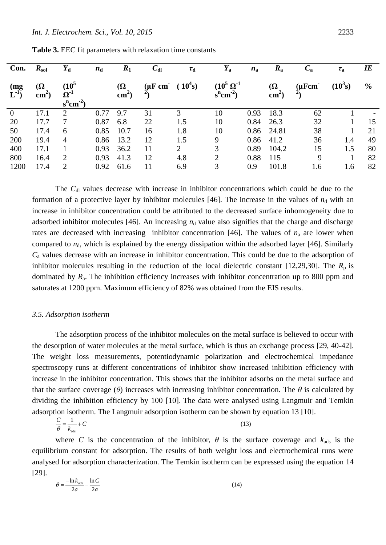| Con.             | $R_{\rm sol}$               | $Y_{\rm d}$                                                                                 | $n_{\rm d}$ | $R_1$                       | $C_{\rm dl}$                                   | $\tau_{\rm d}$ | $Y_{\rm a}$                              | $n_{\rm a}$ | $R_{\rm a}$                 | $C_{\rm a}$ | $\tau_{\rm a}$ | $I\!E$        |
|------------------|-----------------------------|---------------------------------------------------------------------------------------------|-------------|-----------------------------|------------------------------------------------|----------------|------------------------------------------|-------------|-----------------------------|-------------|----------------|---------------|
| (mg)<br>$L^{-1}$ | $\Omega$<br>$\text{cm}^2$ ) | $(10^5$<br>$\boldsymbol{\Omega}^{\text{-}1}$<br>$\mathrm{s}^{\mathrm{n}}\mathrm{cm}^{-2}$ ) |             | $\Omega$<br>$\text{cm}^2$ ) | $(\mu \text{F cm}^{\text{-}} (10^4 \text{s}))$ |                | $\frac{(10^5 \Omega^{-1})}{s^n cm^{-2}}$ |             | $\Omega$<br>$\text{cm}^2$ ) | $(\mu$ Fcm  | $(10^3 s)$     | $\frac{0}{0}$ |
| $\overline{0}$   | 17.1                        | 2                                                                                           | 0.77        | 9.7                         | 31                                             | 3              | 10                                       | 0.93        | 18.3                        | 62          |                |               |
| 20               | 17.7                        |                                                                                             | 0.87        | 6.8                         | 22                                             | 1.5            | 10                                       | 0.84        | 26.3                        | 32          |                | 15            |
| 50               | 17.4                        | 6                                                                                           | 0.85        | 10.7                        | 16                                             | 1.8            | 10                                       | 0.86        | 24.81                       | 38          |                | 21            |
| 200              | 19.4                        | 4                                                                                           | 0.86        | 13.2                        | 12                                             | 1.5            | 9                                        | 0.86        | 41.2                        | 36          | 1.4            | 49            |
| 400              | 17.1                        |                                                                                             | 0.93        | 36.2                        | 11                                             | 2              | 3                                        | 0.89        | 104.2                       | 15          | 1.5            | 80            |
| 800              | 16.4                        | 2                                                                                           | 0.93        | 41.3                        | 12                                             | 4.8            | $\overline{2}$                           | 0.88        | 115                         | 9           |                | 82            |
| 1200             | 17.4                        | 2                                                                                           | 0.92        | 61.6                        | 11                                             | 6.9            | 3                                        | 0.9         | 101.8                       | 1.6         | 1.6            | 82            |

**Table 3.** EEC fit parameters with relaxation time constants

The C<sub>dl</sub> values decrease with increase in inhibitor concentrations which could be due to the formation of a protective layer by inhibitor molecules [46]. The increase in the values of  $n_d$  with an increase in inhibitor concentration could be attributed to the decreased surface inhomogeneity due to adsorbed inhibitor molecules [46]. An increasing  $n_d$  value also signifies that the charge and discharge rates are decreased with increasing inhibitor concentration [46]. The values of  $n_a$  are lower when compared to  $n_d$ , which is explained by the energy dissipation within the adsorbed layer [46]. Similarly *C*<sup>a</sup> values decrease with an increase in inhibitor concentration. This could be due to the adsorption of inhibitor molecules resulting in the reduction of the local dielectric constant [12,29,30]. The  $R_p$  is dominated by *R*a. The inhibition efficiency increases with inhibitor concentration up to 800 ppm and saturates at 1200 ppm. Maximum efficiency of 82% was obtained from the EIS results.

#### *3.5. Adsorption isotherm*

The adsorption process of the inhibitor molecules on the metal surface is believed to occur with the desorption of water molecules at the metal surface, which is thus an exchange process [29, 40-42]. The weight loss measurements, potentiodynamic polarization and electrochemical impedance spectroscopy runs at different concentrations of inhibitor show increased inhibition efficiency with increase in the inhibitor concentration. This shows that the inhibitor adsorbs on the metal surface and that the surface coverage (*θ*) increases with increasing inhibitor concentration. The *θ* is calculated by dividing the inhibition efficiency by 100 [10]. The data were analysed using Langmuir and Temkin adsorption isoth dividing the inhibition efficiency by 100 [10]. The data were analysed using Langmuir and Temkin adsorption isotherm. The Langmuir adsorption isotherm can be shown by equation 13 [10].

$$
\frac{C}{\theta} = \frac{1}{k_{\text{ads}}} + C \tag{13}
$$

where *C* is the concentration of the inhibitor,  $\theta$  is the surface coverage and  $k_{ads}$  is the equilibrium constant for adsorption. The results of both weight loss and electrochemical runs were analysed for adsorption characterization. The Temkin isotherm can be expressed using the equation 14 [29]. adsorptic<br>  $\frac{n k_{ads}}{2a} - \frac{\ln C}{2a}$ im constant for adsorp<br>for adsorption characte<br>=  $\frac{-\ln k_{ads}}{2a} - \frac{\ln C}{2a}$ 

$$
\theta = \frac{-\ln k_{ads}}{2a} - \frac{\ln C}{2a} \tag{14}
$$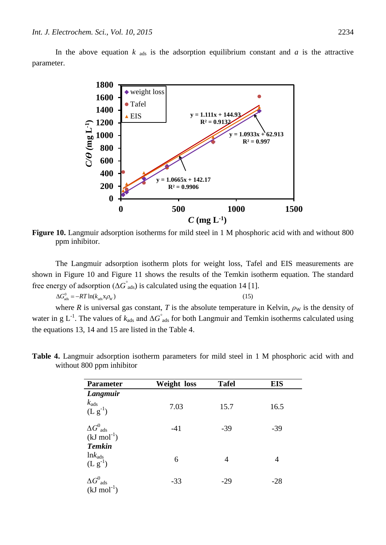In the above equation  $k_{ads}$  is the adsorption equilibrium constant and  $a$  is the attractive parameter.

![](_page_14_Figure_2.jpeg)

**Figure 10.** Langmuir adsorption isotherms for mild steel in 1 M phosphoric acid with and without 800 ppm inhibitor.

The Langmuir adsorption isotherm plots for weight loss, Tafel and EIS measurements are shown in Figure 10 and Figure 11 shows the results of the Temkin isotherm equation. The standard free energy of adsorption ( $\Delta G$ <sup>°</sup><sub>ads</sub>) is calculated using the equation 14 [1]. The Langmuir adsorption isotherm plots for weight loss, Ta<br>in Figure 10 and Figure 11 shows the results of the Temkin is<br>rgy of adsorption  $(\Delta G^{\circ}_{ads})$  is calculated using the equation 14 [1<br> $\Delta G^0_{ads} = -RT \ln(k_{ads} x \rho_w)$  (15)

$$
\Delta G_{\text{ads}}^0 = -RT \ln(k_{\text{ads}} \mathbf{x} \rho_{\text{W}})
$$

where *R* is universal gas constant, *T* is the absolute temperature in Kelvin,  $\rho_W$  is the density of water in g L<sup>-1</sup>. The values of  $k_{ads}$  and  $\Delta G$ <sup>°</sup> <sub>ads</sub> for both Langmuir and Temkin isotherms calculated using the equations 13, 14 and 15 are listed in the Table 4.

| <b>Parameter</b>                                                                                    | <b>Weight</b> loss | <b>Tafel</b> | <b>EIS</b> |
|-----------------------------------------------------------------------------------------------------|--------------------|--------------|------------|
| Langmuir<br>$k_{\rm ads}$<br>$(L g^{-1})$                                                           | 7.03               | 15.7         | 16.5       |
| $\Delta G^0_{ads}$<br>(kJ mol <sup>-1</sup> )<br><b>Temkin</b>                                      | $-41$              | $-39$        | $-39$      |
| $\begin{array}{c} \mathop{\rm ln} k_{\text{ads}}\\ \mathop{\rm (L}\nolimits \, g^{-1}) \end{array}$ | 6                  | 4            | 4          |
| $\Delta G^0_{ads}$<br>$(kJ \text{ mol}^{-1})$                                                       | $-33$              | $-29$        | $-28$      |

**Table 4.** Langmuir adsorption isotherm parameters for mild steel in 1 M phosphoric acid with and without 800 ppm inhibitor

$$
15)
$$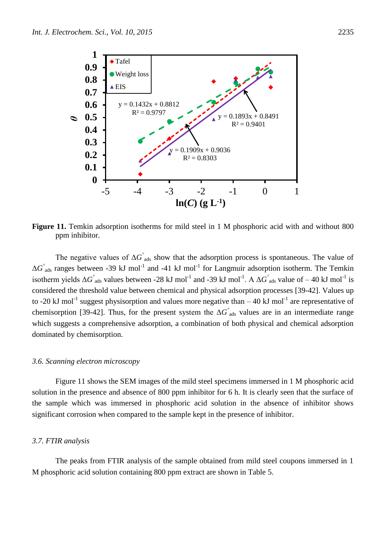![](_page_15_Figure_1.jpeg)

Figure 11. Temkin adsorption isotherms for mild steel in 1 M phosphoric acid with and without 800 ppm inhibitor.

The negative values of  $\Delta G$ <sup>°</sup> ads show that the adsorption process is spontaneous. The value of  $\Delta G$ <sup>°</sup><sub>ads</sub> ranges between -39 kJ mol<sup>-1</sup> and -41 kJ mol<sup>-1</sup> for Langmuir adsorption isotherm. The Temkin isotherm yields  $\Delta G$ <sup>°</sup> ads values between -28 kJ mol<sup>-1</sup> and -39 kJ mol<sup>-1</sup>. A  $\Delta G$ <sup>°</sup> ads value of – 40 kJ mol<sup>-1</sup> is considered the threshold value between chemical and physical adsorption processes [39-42]. Values up to -20 kJ mol<sup>-1</sup> suggest physisorption and values more negative than  $-40$  kJ mol<sup>-1</sup> are representative of chemisorption [39-42]. Thus, for the present system the  $\Delta G$ <sup>°</sup> ads values are in an intermediate range which suggests a comprehensive adsorption, a combination of both physical and chemical adsorption dominated by chemisorption.

#### *3.6. Scanning electron microscopy*

Figure 11 shows the SEM images of the mild steel specimens immersed in 1 M phosphoric acid solution in the presence and absence of 800 ppm inhibitor for 6 h. It is clearly seen that the surface of the sample which was immersed in phosphoric acid solution in the absence of inhibitor shows significant corrosion when compared to the sample kept in the presence of inhibitor.

#### *3.7. FTIR analysis*

The peaks from FTIR analysis of the sample obtained from mild steel coupons immersed in 1 M phosphoric acid solution containing 800 ppm extract are shown in Table 5.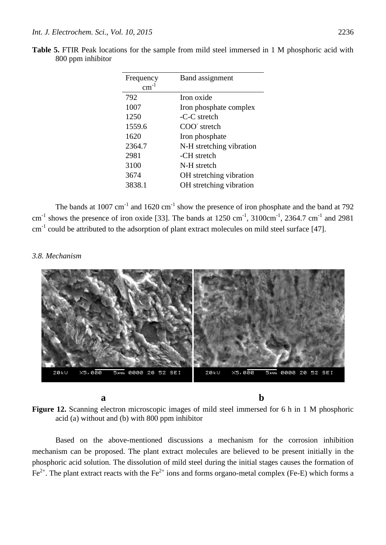| Frequency | Band assignment          |
|-----------|--------------------------|
|           |                          |
| 792       | Iron oxide               |
| 1007      | Iron phosphate complex   |
| 1250      | -C-C stretch             |
| 1559.6    | COO stretch              |
| 1620      | Iron phosphate           |
| 2364.7    | N-H stretching vibration |
| 2981      | -CH stretch              |
| 3100      | N-H stretch              |
| 3674      | OH stretching vibration  |
| 3838.1    | OH stretching vibration  |

| Table 5. FTIR Peak locations for the sample from mild steel immersed in 1 M phosphoric acid with |                   |  |  |  |
|--------------------------------------------------------------------------------------------------|-------------------|--|--|--|
|                                                                                                  | 800 ppm inhibitor |  |  |  |

The bands at 1007 cm<sup>-1</sup> and 1620 cm<sup>-1</sup> show the presence of iron phosphate and the band at 792 cm<sup>-1</sup> shows the presence of iron oxide [33]. The bands at  $1250 \text{ cm}^{-1}$ ,  $3100 \text{ cm}^{-1}$ ,  $2364.7 \text{ cm}^{-1}$  and  $2981$  $cm<sup>-1</sup>$  could be attributed to the adsorption of plant extract molecules on mild steel surface [47].

#### *3.8. Mechanism*

![](_page_16_Picture_5.jpeg)

**Figure 12.** Scanning electron microscopic images of mild steel immersed for 6 h in 1 M phosphoric acid (a) without and (b) with 800 ppm inhibitor

Based on the above-mentioned discussions a mechanism for the corrosion inhibition mechanism can be proposed. The plant extract molecules are believed to be present initially in the phosphoric acid solution. The dissolution of mild steel during the initial stages causes the formation of  $Fe<sup>2+</sup>$ . The plant extract reacts with the Fe<sup>2+</sup> ions and forms organo-metal complex (Fe-E) which forms a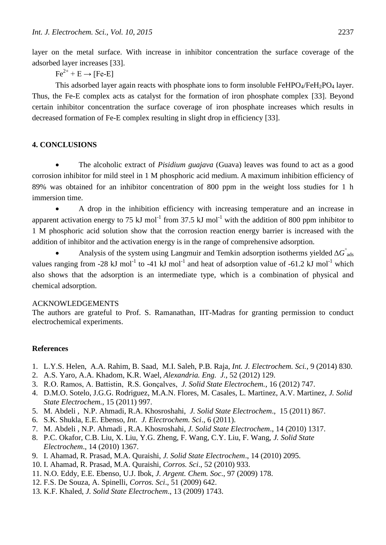layer on the metal surface. With increase in inhibitor concentration the surface coverage of the adsorbed layer increases [33].

 $Fe^{2+} + E \rightarrow [Fe-E]$ 

This adsorbed layer again reacts with phosphate ions to form insoluble  $FeHPO_4/FeH_2PO_4$  layer. Thus, the Fe-E complex acts as catalyst for the formation of iron phosphate complex [33]. Beyond certain inhibitor concentration the surface coverage of iron phosphate increases which results in decreased formation of Fe-E complex resulting in slight drop in efficiency [33].

# **4. CONCLUSIONS**

 The alcoholic extract of *Pisidium guajava* (Guava) leaves was found to act as a good corrosion inhibitor for mild steel in 1 M phosphoric acid medium. A maximum inhibition efficiency of 89% was obtained for an inhibitor concentration of 800 ppm in the weight loss studies for 1 h immersion time.

 A drop in the inhibition efficiency with increasing temperature and an increase in apparent activation energy to 75 kJ mol<sup>-1</sup> from 37.5 kJ mol<sup>-1</sup> with the addition of 800 ppm inhibitor to 1 M phosphoric acid solution show that the corrosion reaction energy barrier is increased with the addition of inhibitor and the activation energy is in the range of comprehensive adsorption.

Analysis of the system using Langmuir and Temkin adsorption isotherms yielded  $\Delta G$ <sup>°</sup><sub>ads</sub> values ranging from -28 kJ mol<sup>-1</sup> to -41 kJ mol<sup>-1</sup> and heat of adsorption value of -61.2 kJ mol<sup>-1</sup> which also shows that the adsorption is an intermediate type, which is a combination of physical and chemical adsorption.

# ACKNOWLEDGEMENTS

The authors are grateful to Prof. S. Ramanathan, IIT-Madras for granting permission to conduct electrochemical experiments.

# **References**

- 1. L.Y.S. Helen, A.A. Rahim, B. Saad, M.I. Saleh, P.B. Raja, *Int. J. Electrochem. Sci.,* 9 (2014) 830.
- 2. A.S. Yaro, A.A. Khadom, K.R. Wael, *Alexandria. Eng. J.*, 52 (2012) 129.
- 3. R.O. Ramos, A. Battistin, R.S. Gonçalves, *J. Solid State Electrochem.*, 16 (2012) 747.
- 4. D.M.O. Sotelo, J.G.G. Rodriguez, M.A.N. Flores, M. Casales, L. Martinez, A.V. Martinez, *J. Solid State Electrochem.*, 15 (2011) 997.
- 5. M. Abdeli , N.P. Ahmadi, R.A. Khosroshahi, *J. Solid State Electrochem*., 15 (2011) 867.
- 6. S.K. Shukla, E.E. Ebenso, *Int. J. Electrochem. Sci*., 6 (2011).
- 7. M. Abdeli , N.P. Ahmadi , R.A. Khosroshahi, *J. Solid State Electrochem*., 14 (2010) 1317.
- 8. P.C. Okafor, C.B. Liu, X. Liu, Y.G. Zheng, F. Wang, C.Y. Liu, F. Wang, *J. Solid State Electrochem*., 14 (2010) 1367.
- 9. I. Ahamad, R. Prasad, M.A. Quraishi, *J. Solid State Electrochem*., 14 (2010) 2095.
- 10. I. Ahamad, R. Prasad, M.A. Quraishi, *Corros. Sci*., 52 (2010) 933.
- 11. N.O. Eddy, E.E. Ebenso, U.J. Ibok, *J. Argent. Chem. Soc*., 97 (2009) 178.
- 12. F.S. De Souza, A. Spinelli, *Corros. Sci*., 51 (2009) 642.
- 13. K.F. Khaled, *J. Solid State Electrochem*., 13 (2009) 1743.